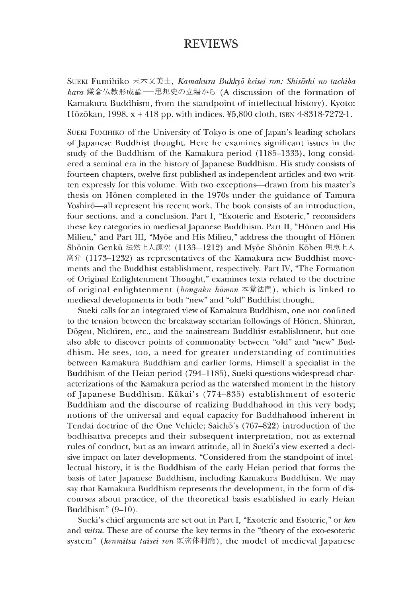## REVIEWS

Sueki Fumihiko 末木文美士,*Kamakura Bukkyd keisei ron: Shisdshi no tachiba* kara 鎌倉仏教形成論––思想史の立場から (A discussion of the formation of Kamakura Buddhism, from the standpoint of intellectual history). Kyoto: Hōzōkan, 1998.  $x + 418$  pp. with indices. ¥5,800 cloth,  $158N + 8318-7272-1$ .

Sueki Fumihiko of the University of Tokyo is one of Japan 's leading scholars of Japanese Buddhist thought. Here he examines significant issues in the study of the Buddhism of the Kamakura period (1185-1333), long considered a seminal era in the history of Japanese Buddhism. His study consists of fourteen chapters, twelve first published as independent articles and two written expressly for this volume. With two exceptions— drawn from his master's thesis on Honen completed in the 1970s under the guidance of Tamura Yoshirō—all represent his recent work. The book consists of an introduction, four sections, and a conclusion. Part I, "Exoteric and Esoteric," reconsiders these key categories in medieval Japanese Buddhism. Part II, "Honen and His Milieu," and Part III, "Myoe and His Milieu," address the thought of Honen Shonin Genku 法然上人源空(1133—1212) and Myoe Shonin Koben 明恵上人 高 弁 (1173-1232) as representatives of the Kamakura new Buddhist movements and the Buddhist establishment, respectively. Part IV, "The Formation of Original Enlightenment Thought," examines texts related to the doctrine of original enlightenment *(hongaku homon* 本覚法門), which is linked to medieval developments in both "new" and "old" Buddhist thought.

Sueki calls for an integrated view of Kamakura Buddhism, one not confined to the tension between the breakaway sectarian followings of Honen, Shinran, Dogen, Nichiren, etc., and the mainstream Buddhist establishment, but one also able to discover points of commonality between "old" and "new" Buddnism. He sees, too, a need for greater understanding of continuities between Kamakura Buddhism and earlier forms. Himself a specialist in the Buddhism of the Heian period (794-1185), Sueki questions widespread characterizations of the Kamakura period as the watershed moment in the history of Japanese Buddhism. Kūkai's (774-835) establishment of esoteric Buddnism and the discourse of realizing Buddhahood in this very body; notions of the universal and equal capacity for Buddhahooa inherent in Tendai doctrine of the One Vehicle; Saicho's (767-822) introduction of the bodhisattva precepts and their subsequent interpretation, not as external rules of conduct, but as an inward attitude, all in Sueki's view exerted a decisive impact on later developments. "Considered from the standpoint of intellectual history, it is the Buddhism of the early Heian period that forms the basis of later Japanese Buddhism, including Kamakura Buddhism. We may say that Kamakura Buddhism represents the development, in the form of discourses about practice, of the theoretical basis established in early Heian Buddhism"  $(9-10)$ .

Sueki's chief arguments are set out in Part I, "Exoteric and Esoteric," or *ken* and *mitsu.* These are of course the key terms in the "theory of the exo-esoteric system" *(kenmitsu taisei ron* 顕密体制論), the model of medieval Japanese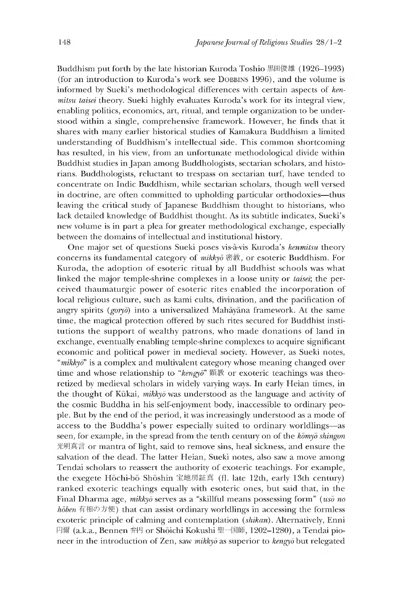Buddhism put forth by the late historian Kuroda Toshio 黒田俊雄 (1926–1993) (for an introduction to Kuroda's work see DOBBINS 1996), and the volume is informed by Sueki's methodological differences with certain aspects of *kenmitsu taisei* theory. Sueki highly evaluates Kuroda's work for its integral view, enabling politics, economics, art, ritual, and temple organization to be understood within a single, comprehensive framework. However, he finds that it shares with many earlier historical studies of Kamakura Buddhism a limited understanding of Buddhism's intellectual side. This common shortcoming has resulted, in his view, from an unfortunate methodological divide within Buddhist studies in Japan among Buddhologists, sectarian scholars, and historians. Buddhologists, reluctant to trespass on sectarian turf, have tended to concentrate on Indic Buddhism, while sectarian scholars, though well versed in doctrine, are often committed to upholding particular orthodoxies— thus leaving the critical study of Japanese Buddhism thought to historians, who lack detailed knowledge of Buddhist thought. As its subtitle indicates, Sueki's new volume is in part a plea for greater methodological exchange, especially between the domains of intellectual and institutional history.

One major set of questions Sueki poses vis-a-vis Kuroda's *kenmitsu* theory concerns its fundamental category of *mikkyd* 密教,or esoteric Buddhism. For Kuroda, the adoption of esoteric ritual by all Buddhist schools was what linked the major temple-shrine complexes in a loose unity or *taisei;* the perceived thaumaturgic power of esoteric rites enabled the incorporation of local religious culture, such as kami cults, divination, and the pacincation of angrv spirits *(goryo)* into a universalized Mahayana framework. At the same time, the magical protection offered by such rites secured for Buddhist institutions the support of wealthy patrons, who made donations of land in exchange, eventually enabling temple-shrine complexes to acquire significant economic and political power in medieval society. However, as Sueki notes, *"mikkyd"* is a complex and multivalent category whose meaning changed over time and whose relationship to "kengyo" 顕教 or exoteric teachings was theoretized by medieval scholars in widely varying ways. In early Heian times, in the thought of Kukai, *mikkyd* was understood as the language and activity of the cosmic Buddha in his self-enjoyment body, inaccessiole to ordinary people. But by the end of the period, it was increasingly understood as a mode of access to the Buddha's power especially suited to ordinary worldlings— as seen, for example, in the spread from the tenth century on of the *komyo shinp'on* 光明真言 or mantra of light, said to remove sins, heal sickness, and ensure the salvation of the dead. The latter Heian, Sueki notes, also saw a move among Tendai scholars to reassert the authority of exoteric teachings. For example, the exegete Hōchi-bō Shōshin 宝地房証真 (fl. late 12th, early 13th century) ranked exoteric teachings equally with esoteric ones, but said that, in the Final Dharma age, *mikkyo* serves as a "skillful means possessing form" *(uso no hōben* 有相の方便) that can assist ordinary worldlings in accessing the formless exoteric principle of calming and contemplation *(shikan).* Alternatively, Enni 円爾(a.k.a.,Bennen 弁円 or Shoichi Kokushi 聖一国師,1202-1280),a Tendai pioneer in the introduction of Zen, saw *mikkyd* as superior to *kengyd* but relegated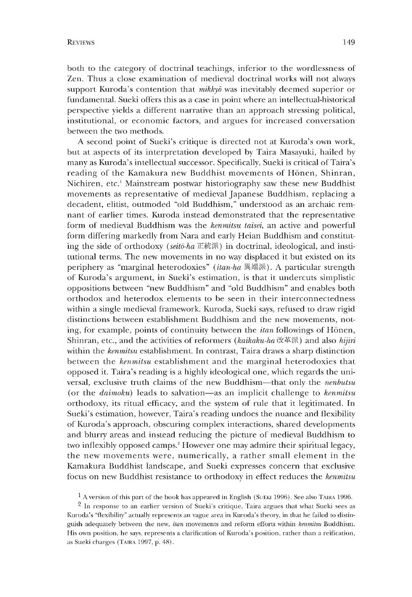both to the category of doctrinal teachings, inferior to the wordlessness of Zen. Thus a close examination of medieval doctrinal works will not always support Kuroda's contention that *mikky*<sup> $\bar{o}$ </sup> was inevitably deemed superior or fundamental. Sueki offers this as a case in point where an intellectual-historical perspective yields a different narrative than an approach stressing political, institutional, or economic factors, and argues for increased conversation between the two methods.

A second point of Sueki's critique is directed not at Kuroda's own work, but at aspects of its interpretation developed by Taira Masayuki, hailed by many as Kuroda's intellectual successor. Specifically, Sueki is critical of Taira's reading of the Kamakura new Buddhist movements of Honen, Shinran, Nichiren, etc.<sup>1</sup> Mainstream postwar historiography saw these new Buddhist movements as representative of medieval Japanese Buddhism, replacing a decadent, elitist, outmoded "old Buddhism," understood as an archaic remnant of earlier times. Kuroda instead demonstrated that the representative form of medieval Buddhism was the *kenmitsu taisei,* an active and powerful form differing markedly from Nara and early Heian Buddhism and constituting the side of orthodoxy *(seitd-ha* 正統派) in doctrinal, ideological, and institutional terms. The new movements in no way displaced it but existed on its periphery as "marginal heterodoxies" *(itan-ha 異端派). A* particular strength of Kuroda's argument, in Sueki's estimation, is that it undercuts simplistic oppositions between "new Buddnism" and "old Buddhism" and enables both orthodox and heterodox elements to be seen in their interconnectedness within a single medieval framework. Kuroda, Sueki says, refused to draw rigid distinctions between establishment Buddhism ana the new movements, noting, for example, points of continuity between the *itan* followings of Honen, Shinran, etc., and the activities of reformers *(kaikaku-ha* 改革派) and also *hijiri* within the *kenmitsu* establishment. In contrast, Taira draws a sharp distinction between the *kenmitsu* establishment and the marginal heterodoxies that opposed it. Taira's reading is a highly ideological one, which regards the universal, exclusive truth claims of the new Buddhism— that only the *nenbutsu* (or the *daimoku)* leads to salvation— as an im plicit challenge to *kenmitsu* orthodoxy, its ritual efficacy, and the system of rule that it legitimated. In Sueki's estimation, however, Taira's reading undoes the nuance and flexibility of Kuroda's approach, obscuring complex interactions, shared developments and blurry areas and instead reducing the picture of medieval Buddhism to two inflexibly opposed camps.2 However one may admire their spiritual legacy, the new movements were, numerically, a rather small element in the Kamakura Buddhist landscape, and Sueki expresses concern that exclusive focus on new Buddhist resistance to orthodoxy in effect reduces the *kenmitsu*

 $1$  A version of this part of the book has appeared in English (SUEKI 1996). See also TAIRA 1996.

 $2$  In response to an earlier version of Sueki's critique, Taira argues that what Sueki sees as Kuroda's "flexibility" actually represents an vague area in Kuroda's theory, in that he failed to distinguish adequately between the new, *itan* movements and reform efforts within *kenmitsu* Buddhism. His own position, he says, represents a clarification of Kuroda's position, rather than a reification, as Sueki charges (Taira 1997, p. 48).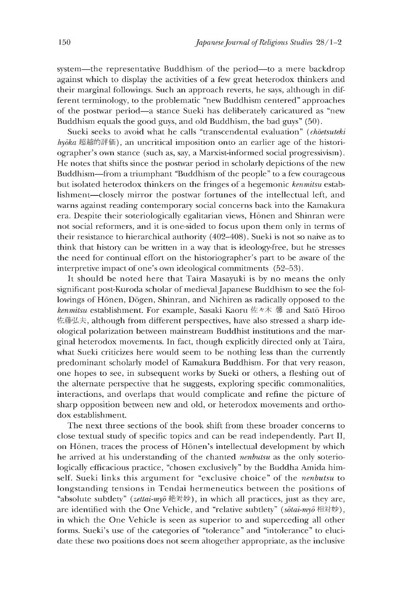system—the representative Buddhism of the period—to a mere backdrop against which to display the activities of a few great heterodox thinkers and their marginal followings. Such an approach reverts, he says, although in different terminology, to the problematic "new Buddhism centered" approaches of the postwar period—a stance Sueki has deliberately caricatured as "new Buddhism equals the good guys, and old Buddhism, the bad guys" (50).

Sueki seeks to avoid what he calls "transcendental evaluation" (*choetsuteki hyōka* 超越的評価), an uncritical imposition onto an earlier age of the historiographer's own stance (such as, say, a Marxist-informed social progressivism). He notes that shifts since the postwar period in scholarly depictions of the new Buddhism—from a triumphant "Buddnism of the people" to a few courageous but isolated heterodox thinkers on the fringes of a hegemonic *kenmitsu* establishment— closely mirror the postwar fortunes of the intellectual left, and warns against reading contemporary social concerns back into the Kamakura era. Despite their soteriologically egalitarian views, Honen and Shinran were not social reformers, and it is one-sided to focus upon them only in terms of their resistance to hierarchical authority (402-408). Sueki is not so naive as to think that history can be written in a way that is ideology-free, but he stresses the need for continual effort on the historiographer's part to be aware of the interpretive impact of one's own ideological commitments (52-53).

It should be noted here that Taira Masayuki is by no means the only significant post-Kuroda scholar of medieval Japanese Buddhism to see the followings of Honen, Dogen, Shinran, and Nichiren as radically opposed to the kenmitsu establishment. For example, Sasaki Kaoru 佐々木 馨 and Satō Hiroo 佐籐弘夫,although from different perspectives, have also stressed a sharp ideological polarization between mainstream Buddhist institutions and the marginal heterodox movements. In fact, though explicitly directed only at Taira, what Sueki criticizes here would seem to be nothing less than the currently predominant scholarly model of Kamakura Buddhism. For that very reason, one hopes to see, in subsequent works by Sueki or others, a fleshing out of the alternate perspective that he suggests, exploring specific commonalities, interactions, and overlaps that would complicate and refine the picture of sharp opposition between new and old, or heterodox movements and orthodox establishment.

The next three sections of the book shift from these broader concerns to close textual study of specific topics and can be read independently. Part II, on Honen, traces the process of Honen's intellectual development by which he arrived at his understanding of the chanted *nenbutsu* as the only soteriologically efficacious practice, "chosen exclusively" by the Buddha Amida himself. Sueki links this argument for "exclusive choice" of the *nenbutsu* to longstanding tensions in Tendai hermeneutics between the positions of "absolute subtlety" *(zettai-myd* 絶对妙),in which all practices, just as they are, are identified with the One Vehicle, and "relative subtlety" ( $s\bar{o}ta\bar{i}\text{-}m\bar{y}\bar{o}$  相対妙), in which the One Vehicle is seen as superior to and superceding all other forms. Sueki's use of the categories of "tolerance" and "intolerance" to elucidate these two positions does not seem altogether appropriate, as the inclusive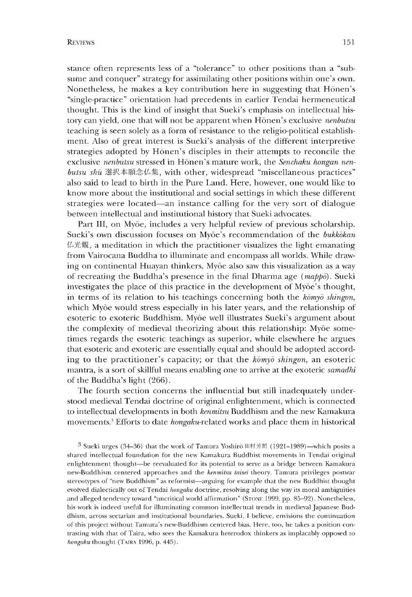stance often represents less of a "tolerance" to other positions than a "subsume and conquer" strategy for assimilating other positions within one's own. Nonetheless, he makes a key contribution here in suggesting that Hōnen's "single-practice" orientation had precedents in earlier Tendai hermeneutical thought. This is the kind of insight that Sueki's emphasis on intellectual history can yield, one that will not be apparent when Honen's exclusive *nenbutsu* teaching is seen solely as a form of resistance to the religio-political establishment. Also of great interest is Sueki's analysis of the different interpretive strategies adopted by Hōnen's disciples in their attempts to reconcile the exclusive *nenbutsu* stressed in Honen's mature work, the *Senchaku hongan nenbutsu shu* 選択本願念仏集, with other, widespread "miscellaneous practices" also said to lead to birth in the Pure Land. Here, however, one would like to know more about the institutional and social settings in which these different strategies were located— an instance calling for the very sort of dialogue between intellectual and institutional history that Sueki advocates.

Part III, on Myōe, includes a very helpful review of previous scholarship. Sueki's own discussion focuses on Myōe's recommendation of the *bukkokan* 仏光櫬,a meditation in which the practitioner visualizes the light emanating from Vairocana Buddha to illuminate and encompass all worlds. While drawing on continental Huayan thinkers, Myoe also saw this visualization as a way of recreating the Buddha's presence in the final Dharma age *(mappo).* Sueki investigates the place of this practice in the development of Myoe's thought, in terms ot its relation to his teachings concerning both the *komyo shingon,* which Myōe would stress especially in his later years, and the relationship of esoteric to exoteric Buddhism. Myōe well illustrates Sueki's argument about the complexity of medieval theorizing about this relationship: Myoe sometimes regards the esoteric teachings as superior, while elsewhere he argues that esoteric and exoteric are essentially equal and should be adopted according to the practitioner's capacity; or that the *komyo shingon*, an esoteric mantra, is a sort of skillful means enabling one to arrive at the exoteric *samadhi* of the Buddha's light (266).

The fourth section concerns the influential but still inadequately understood medieval Tendai doctrine of original enlightenment, whicn is connected to intellectual developments in both *kenmitsu* Buddhism and the new Kamakura movements.<sup>3</sup> Efforts to date *hongaku*-related works and place them in historical

<sup>3</sup> Sueki urges (34–36) that the work of Tamura Yoshiro 田村芳朗 (1921–1989)—which posits a shared intellectual foundation for the new Kamakura Buddhist movements in Tendai original enlightenment thought~be reevaluated for its potential to serve as a bridge between Kamakura new-Buddhism centered approaches and the *kenmitsu taisei* theory. Tamura privileges postwar stereotypes of "new Buddhism" as reformist-arguing for example that the new Buddhist thought evolved dialectically out of Tendai *hongaku* doctrine, resolving along the way its moral ambiguities and alleged tendency toward "uncritical world affirmation" (STONE 1999, pp. 85-92). Nonetheless, his work is indeed useful for illuminating common intellectual trends in medieval Japanese Buddhism, across sectarian and institutional boundaries. Sueki, I believe, envisions the continuation of this project without Tamura's new-Buddhism centered bias. Here, too, he takes a position contrasting- with that of Taira, who sees the Kamakura heterodox thinkers as implacably opposed to *hongaku* thought (TAIRA 1996, p. 445).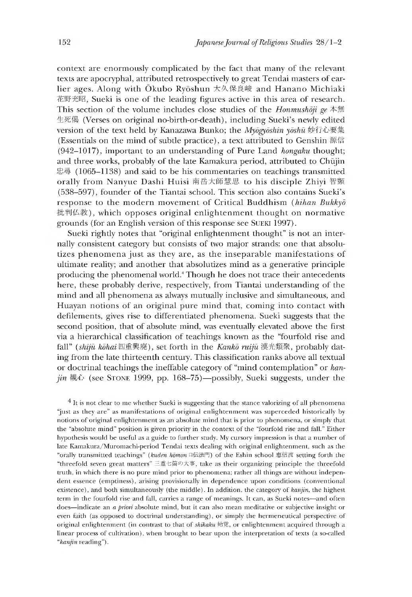context are enormously complicated by the fact that many of the relevant texts are apocryphal, attributed retrospectively to great Tendai masters of earlier ages. Along with Okubo Ryoshun 大久保良峻 and Hanano Michiaki 花野充昭,SueKi is one of the leading figures active in this area of research. This section of the volume includes close studies of the *Honmushdji ge* 本無 生死偈 (Verses on original no-birth-or-death), including Sueki's newly edited version of the text held by Kanazawa Bunko; the *Myōgyōshin yōshū* 妙行心要集 (Essentials on the mind of subtle practice), a text attributed to Genshin 源信 (942-1017), important to an understanding of Pure Land *hongaku* thought; and three works, probably of the late Kamakura period, attributed to Chūjin 忠尋 (1065-1138) and said to be his commentaries on teachings transmitted orally from Nanyue Dashi Huisi 南岳大師慧思 to his disciple Zhiyi 智顗 (538-597), founder of the Tiantai school. This section also contains Sueki's response to the modern movement of Critical Buddhism *(hihan Bukkyd* 批判仏教), which opposes original enlightenment thought on normative grounds (for an English version of this response see SUEKI 1997).

Sueki rightly notes that "original enlightenment thought" is not an internally consistent category but consists of two major strands: one that absolutizes phenomena just as they are, as the inseparable manifestations of ultimate reality; and another that absolutizes mind as a generative principle producing the phenomenal world.4 Though he does not trace their antecedents here, these probably derive, respectively, from Tiantai understanding of the mind and all phenomena as always mutually inclusive and simultaneous, and Huayan notions of an original pure mind that, coming into contact with defilements, gives rise to differentiated phenomena. Sueki suggests that the second position, that of absolute mind, was eventually elevated above the first via a hierarchical classification of teachings known as the "fourfold rise and fall" (shiju kohai 四重興廃), set forth in the *Kanko ruiju* 漢光類聚, probably dating from the late thirteenth century. This classification ranks above all textual or doctrinal teachings the ineffable category of "mind contemplation" or *kanjin* 櫬 心 (see Stone 1999, pp. 168-75)— possibly, Sueki suggests, under the

<sup>4</sup> It is not clear to me whether Sueki is suggesting that the stance valorizing of all phenomena "just as they are" as manifestations of original enlightenment was superceded historically by notions of original enlightenment as an absolute mind that is prior to phenomena, or simply that the "absolute mind" position is given priority in the context of the "fourfold rise and fall." Either hypothesis would be useful as a guide to further study. My cursory impression is that a number of late Kamakura/Muromachi-period Tendai texts dealing with original enlightenment, such as the "orally transmitted teachings" *(kuden homon* 口伝法門)of the Eshin school恵侣流 setting forth the "threefold seven great matters" 三重七箇の大事,take as their organizing principle the threefold truth, in which there is no pure mind prior to phenomena; rather all things are without independent essence (emptiness), arising provisionally in dependence upon conditions (conventional existence), and both simultaneously (the middle). In addition, the category of *kanjin*, the highest term in the fourfold rise and fall, carries a range of meanings. It can, as Sueki notes—and often does—indicate an *a priori* absolute mind, but it can also mean meditative or subjective insight or even raith (as opposed to doctrinal understanding), or simply the hermeneutical perspective of original enlightenment (in contrast to that of *shikaku 始覚*, or enlightenment acquired through a linear process of cultivation), when brought to bear upon the interpretation of texts (a so-called *"kanjin* reading").